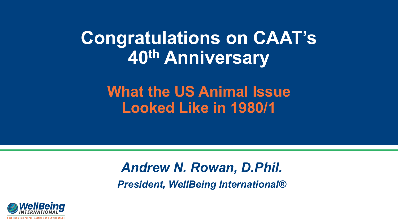## **Congratulations on CAAT's 40th Anniversary**

**What the US Animal Issue Looked Like in 1980/1**

## *Andrew N. Rowan, D.Phil. President, WellBeing International®*

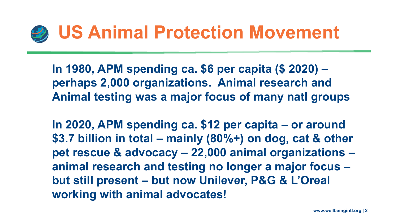

**In 1980, APM spending ca. \$6 per capita (\$ 2020) – perhaps 2,000 organizations. Animal research and Animal testing was a major focus of many natl groups**

**In 2020, APM spending ca. \$12 per capita – or around \$3.7 billion in total – mainly (80%+) on dog, cat & other pet rescue & advocacy – 22,000 animal organizations – animal research and testing no longer a major focus – but still present – but now Unilever, P&G & L'Oreal working with animal advocates!**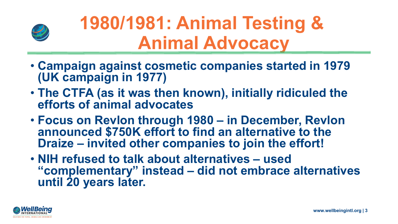

## **1980/1981: Animal Testing & Animal Advocacy**

- **Campaign against cosmetic companies started in 1979 (UK campaign in 1977)**
- **The CTFA (as it was then known), initially ridiculed the efforts of animal advocates**
- **Focus on Revlon through 1980 – in December, Revlon announced \$750K effort to find an alternative to the Draize – invited other companies to join the effort!**
- **NIH refused to talk about alternatives – used "complementary" instead – did not embrace alternatives until 20 years later.**